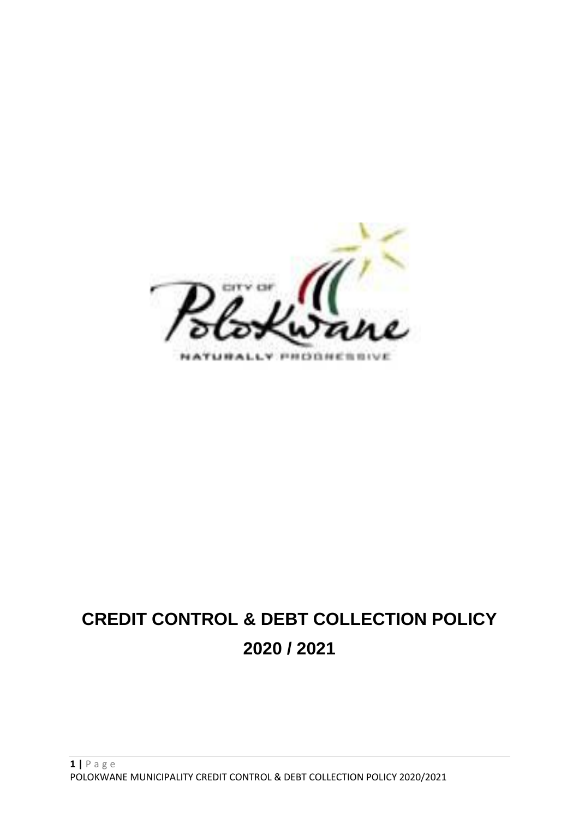

# **CREDIT CONTROL & DEBT COLLECTION POLICY 2020 / 2021**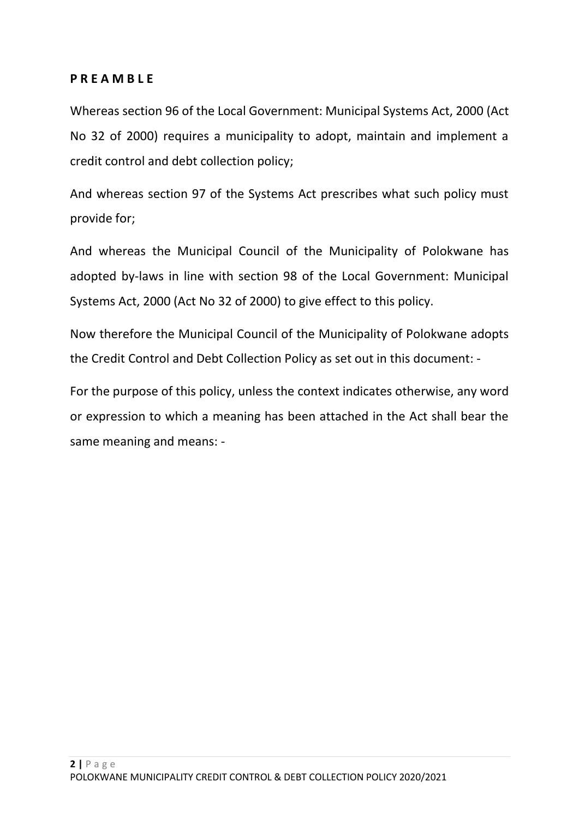# **P R E A M B L E**

Whereas section 96 of the Local Government: Municipal Systems Act, 2000 (Act No 32 of 2000) requires a municipality to adopt, maintain and implement a credit control and debt collection policy;

And whereas section 97 of the Systems Act prescribes what such policy must provide for;

And whereas the Municipal Council of the Municipality of Polokwane has adopted by-laws in line with section 98 of the Local Government: Municipal Systems Act, 2000 (Act No 32 of 2000) to give effect to this policy.

Now therefore the Municipal Council of the Municipality of Polokwane adopts the Credit Control and Debt Collection Policy as set out in this document: -

For the purpose of this policy, unless the context indicates otherwise, any word or expression to which a meaning has been attached in the Act shall bear the same meaning and means: -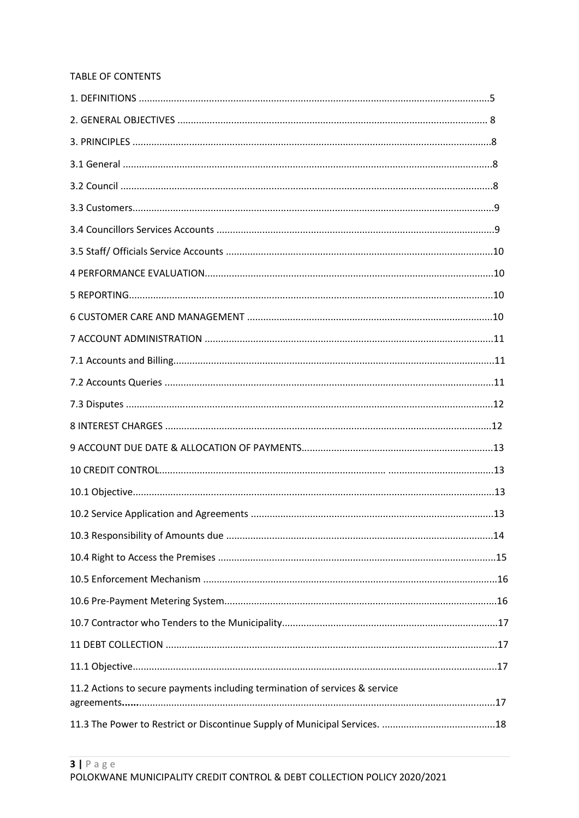#### TABLE OF CONTENTS

| 11.2 Actions to secure payments including termination of services & service |  |
|-----------------------------------------------------------------------------|--|
|                                                                             |  |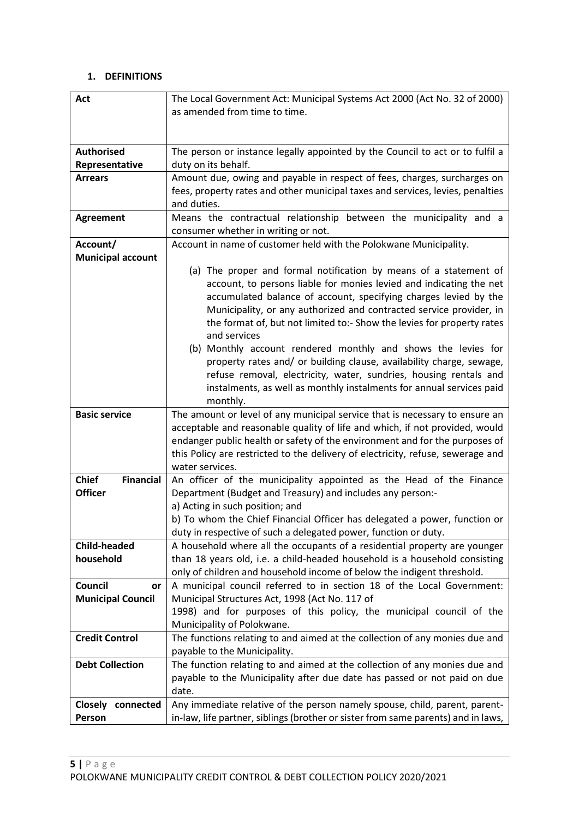# **1. DEFINITIONS**

| Act                                   | The Local Government Act: Municipal Systems Act 2000 (Act No. 32 of 2000)                                                                                       |
|---------------------------------------|-----------------------------------------------------------------------------------------------------------------------------------------------------------------|
|                                       | as amended from time to time.                                                                                                                                   |
|                                       |                                                                                                                                                                 |
|                                       |                                                                                                                                                                 |
| <b>Authorised</b>                     | The person or instance legally appointed by the Council to act or to fulfil a                                                                                   |
| Representative                        | duty on its behalf.                                                                                                                                             |
| <b>Arrears</b>                        | Amount due, owing and payable in respect of fees, charges, surcharges on                                                                                        |
|                                       | fees, property rates and other municipal taxes and services, levies, penalties                                                                                  |
|                                       | and duties.                                                                                                                                                     |
| <b>Agreement</b>                      | Means the contractual relationship between the municipality and a                                                                                               |
|                                       | consumer whether in writing or not.                                                                                                                             |
| Account/                              | Account in name of customer held with the Polokwane Municipality.                                                                                               |
| <b>Municipal account</b>              |                                                                                                                                                                 |
|                                       | (a) The proper and formal notification by means of a statement of                                                                                               |
|                                       | account, to persons liable for monies levied and indicating the net                                                                                             |
|                                       | accumulated balance of account, specifying charges levied by the                                                                                                |
|                                       | Municipality, or any authorized and contracted service provider, in                                                                                             |
|                                       | the format of, but not limited to:- Show the levies for property rates                                                                                          |
|                                       | and services                                                                                                                                                    |
|                                       | (b) Monthly account rendered monthly and shows the levies for                                                                                                   |
|                                       | property rates and/ or building clause, availability charge, sewage,                                                                                            |
|                                       | refuse removal, electricity, water, sundries, housing rentals and                                                                                               |
|                                       |                                                                                                                                                                 |
|                                       | instalments, as well as monthly instalments for annual services paid<br>monthly.                                                                                |
| <b>Basic service</b>                  | The amount or level of any municipal service that is necessary to ensure an                                                                                     |
|                                       | acceptable and reasonable quality of life and which, if not provided, would                                                                                     |
|                                       | endanger public health or safety of the environment and for the purposes of                                                                                     |
|                                       | this Policy are restricted to the delivery of electricity, refuse, sewerage and                                                                                 |
|                                       | water services.                                                                                                                                                 |
| <b>Financial</b><br><b>Chief</b>      | An officer of the municipality appointed as the Head of the Finance                                                                                             |
| <b>Officer</b>                        | Department (Budget and Treasury) and includes any person:-                                                                                                      |
|                                       | a) Acting in such position; and                                                                                                                                 |
|                                       |                                                                                                                                                                 |
|                                       |                                                                                                                                                                 |
|                                       | b) To whom the Chief Financial Officer has delegated a power, function or                                                                                       |
|                                       | duty in respective of such a delegated power, function or duty.                                                                                                 |
| <b>Child-headed</b>                   | A household where all the occupants of a residential property are younger                                                                                       |
| household                             | than 18 years old, i.e. a child-headed household is a household consisting                                                                                      |
|                                       | only of children and household income of below the indigent threshold.                                                                                          |
| Council<br>or                         | A municipal council referred to in section 18 of the Local Government:                                                                                          |
| <b>Municipal Council</b>              | Municipal Structures Act, 1998 (Act No. 117 of                                                                                                                  |
|                                       | 1998) and for purposes of this policy, the municipal council of the                                                                                             |
|                                       | Municipality of Polokwane.                                                                                                                                      |
| <b>Credit Control</b>                 | The functions relating to and aimed at the collection of any monies due and                                                                                     |
|                                       | payable to the Municipality.                                                                                                                                    |
| <b>Debt Collection</b>                | The function relating to and aimed at the collection of any monies due and                                                                                      |
|                                       | payable to the Municipality after due date has passed or not paid on due                                                                                        |
|                                       | date.                                                                                                                                                           |
| <b>Closely</b><br>connected<br>Person | Any immediate relative of the person namely spouse, child, parent, parent-<br>in-law, life partner, siblings (brother or sister from same parents) and in laws, |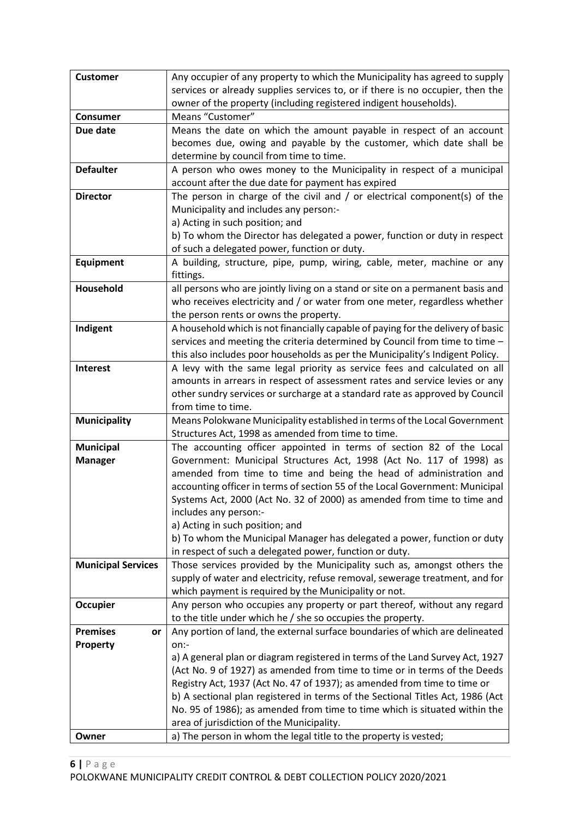| <b>Customer</b>           | Any occupier of any property to which the Municipality has agreed to supply                                                           |
|---------------------------|---------------------------------------------------------------------------------------------------------------------------------------|
|                           | services or already supplies services to, or if there is no occupier, then the                                                        |
|                           | owner of the property (including registered indigent households).                                                                     |
| <b>Consumer</b>           | Means "Customer"                                                                                                                      |
| Due date                  | Means the date on which the amount payable in respect of an account                                                                   |
|                           | becomes due, owing and payable by the customer, which date shall be                                                                   |
|                           | determine by council from time to time.                                                                                               |
| <b>Defaulter</b>          | A person who owes money to the Municipality in respect of a municipal                                                                 |
|                           | account after the due date for payment has expired                                                                                    |
| <b>Director</b>           | The person in charge of the civil and $/$ or electrical component(s) of the                                                           |
|                           | Municipality and includes any person:-                                                                                                |
|                           | a) Acting in such position; and                                                                                                       |
|                           | b) To whom the Director has delegated a power, function or duty in respect                                                            |
|                           | of such a delegated power, function or duty.                                                                                          |
| <b>Equipment</b>          | A building, structure, pipe, pump, wiring, cable, meter, machine or any                                                               |
|                           | fittings.                                                                                                                             |
| Household                 | all persons who are jointly living on a stand or site on a permanent basis and                                                        |
|                           | who receives electricity and / or water from one meter, regardless whether                                                            |
| Indigent                  | the person rents or owns the property.<br>A household which is not financially capable of paying for the delivery of basic            |
|                           | services and meeting the criteria determined by Council from time to time -                                                           |
|                           | this also includes poor households as per the Municipality's Indigent Policy.                                                         |
| <b>Interest</b>           | A levy with the same legal priority as service fees and calculated on all                                                             |
|                           | amounts in arrears in respect of assessment rates and service levies or any                                                           |
|                           | other sundry services or surcharge at a standard rate as approved by Council                                                          |
|                           | from time to time.                                                                                                                    |
| <b>Municipality</b>       | Means Polokwane Municipality established in terms of the Local Government                                                             |
|                           | Structures Act, 1998 as amended from time to time.                                                                                    |
| <b>Municipal</b>          | The accounting officer appointed in terms of section 82 of the Local                                                                  |
| <b>Manager</b>            | Government: Municipal Structures Act, 1998 (Act No. 117 of 1998) as                                                                   |
|                           | amended from time to time and being the head of administration and                                                                    |
|                           | accounting officer in terms of section 55 of the Local Government: Municipal                                                          |
|                           | Systems Act, 2000 (Act No. 32 of 2000) as amended from time to time and                                                               |
|                           | includes any person:-                                                                                                                 |
|                           | a) Acting in such position; and                                                                                                       |
|                           | b) To whom the Municipal Manager has delegated a power, function or duty                                                              |
|                           | in respect of such a delegated power, function or duty.                                                                               |
| <b>Municipal Services</b> | Those services provided by the Municipality such as, amongst others the                                                               |
|                           | supply of water and electricity, refuse removal, sewerage treatment, and for<br>which payment is required by the Municipality or not. |
| <b>Occupier</b>           | Any person who occupies any property or part thereof, without any regard                                                              |
|                           | to the title under which he / she so occupies the property.                                                                           |
| <b>Premises</b><br>or     | Any portion of land, the external surface boundaries of which are delineated                                                          |
| Property                  | on:-                                                                                                                                  |
|                           | a) A general plan or diagram registered in terms of the Land Survey Act, 1927                                                         |
|                           | (Act No. 9 of 1927) as amended from time to time or in terms of the Deeds                                                             |
|                           | Registry Act, 1937 (Act No. 47 of 1937); as amended from time to time or                                                              |
|                           | b) A sectional plan registered in terms of the Sectional Titles Act, 1986 (Act                                                        |
|                           | No. 95 of 1986); as amended from time to time which is situated within the                                                            |
|                           | area of jurisdiction of the Municipality.                                                                                             |
| Owner                     | a) The person in whom the legal title to the property is vested;                                                                      |
|                           |                                                                                                                                       |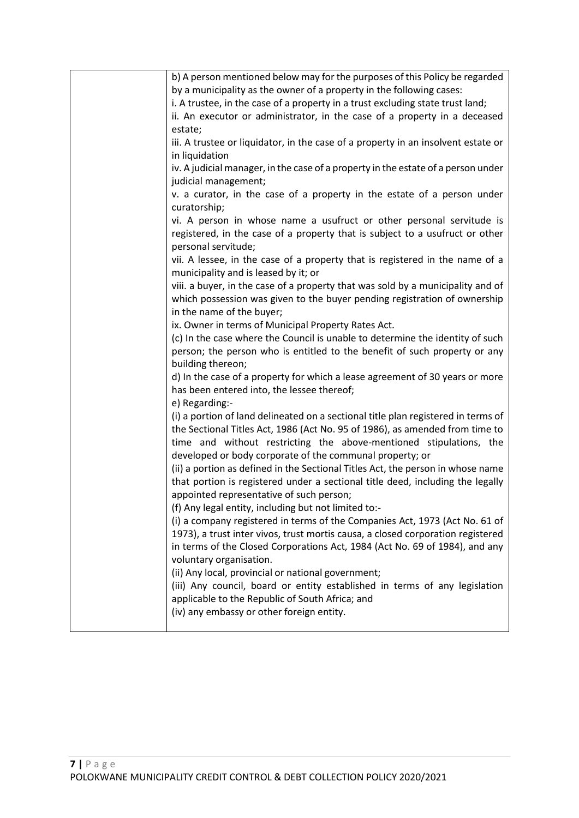| b) A person mentioned below may for the purposes of this Policy be regarded                                                                                                                                                                                                                         |
|-----------------------------------------------------------------------------------------------------------------------------------------------------------------------------------------------------------------------------------------------------------------------------------------------------|
| by a municipality as the owner of a property in the following cases:                                                                                                                                                                                                                                |
| i. A trustee, in the case of a property in a trust excluding state trust land;                                                                                                                                                                                                                      |
| ii. An executor or administrator, in the case of a property in a deceased                                                                                                                                                                                                                           |
| estate;                                                                                                                                                                                                                                                                                             |
| iii. A trustee or liquidator, in the case of a property in an insolvent estate or                                                                                                                                                                                                                   |
| in liquidation                                                                                                                                                                                                                                                                                      |
| iv. A judicial manager, in the case of a property in the estate of a person under<br>judicial management;                                                                                                                                                                                           |
| v. a curator, in the case of a property in the estate of a person under                                                                                                                                                                                                                             |
| curatorship;                                                                                                                                                                                                                                                                                        |
| vi. A person in whose name a usufruct or other personal servitude is                                                                                                                                                                                                                                |
| registered, in the case of a property that is subject to a usufruct or other<br>personal servitude;                                                                                                                                                                                                 |
| vii. A lessee, in the case of a property that is registered in the name of a<br>municipality and is leased by it; or                                                                                                                                                                                |
| viii. a buyer, in the case of a property that was sold by a municipality and of                                                                                                                                                                                                                     |
| which possession was given to the buyer pending registration of ownership<br>in the name of the buyer;                                                                                                                                                                                              |
| ix. Owner in terms of Municipal Property Rates Act.                                                                                                                                                                                                                                                 |
| (c) In the case where the Council is unable to determine the identity of such                                                                                                                                                                                                                       |
| person; the person who is entitled to the benefit of such property or any<br>building thereon;                                                                                                                                                                                                      |
| d) In the case of a property for which a lease agreement of 30 years or more<br>has been entered into, the lessee thereof;                                                                                                                                                                          |
| e) Regarding:-                                                                                                                                                                                                                                                                                      |
| (i) a portion of land delineated on a sectional title plan registered in terms of<br>the Sectional Titles Act, 1986 (Act No. 95 of 1986), as amended from time to<br>time and without restricting the above-mentioned stipulations, the<br>developed or body corporate of the communal property; or |
| (ii) a portion as defined in the Sectional Titles Act, the person in whose name<br>that portion is registered under a sectional title deed, including the legally<br>appointed representative of such person;                                                                                       |
| (f) Any legal entity, including but not limited to:-                                                                                                                                                                                                                                                |
| (i) a company registered in terms of the Companies Act, 1973 (Act No. 61 of<br>1973), a trust inter vivos, trust mortis causa, a closed corporation registered<br>in terms of the Closed Corporations Act, 1984 (Act No. 69 of 1984), and any                                                       |
| voluntary organisation.                                                                                                                                                                                                                                                                             |
| (ii) Any local, provincial or national government;                                                                                                                                                                                                                                                  |
| (iii) Any council, board or entity established in terms of any legislation<br>applicable to the Republic of South Africa; and<br>(iv) any embassy or other foreign entity.                                                                                                                          |
|                                                                                                                                                                                                                                                                                                     |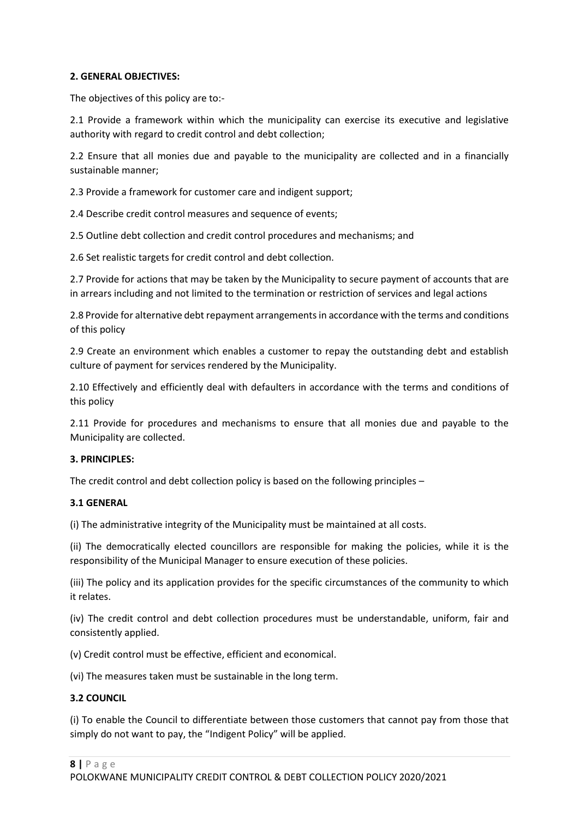#### **2. GENERAL OBJECTIVES:**

The objectives of this policy are to:-

2.1 Provide a framework within which the municipality can exercise its executive and legislative authority with regard to credit control and debt collection;

2.2 Ensure that all monies due and payable to the municipality are collected and in a financially sustainable manner;

2.3 Provide a framework for customer care and indigent support;

2.4 Describe credit control measures and sequence of events;

2.5 Outline debt collection and credit control procedures and mechanisms; and

2.6 Set realistic targets for credit control and debt collection.

2.7 Provide for actions that may be taken by the Municipality to secure payment of accounts that are in arrears including and not limited to the termination or restriction of services and legal actions

2.8 Provide for alternative debt repayment arrangements in accordance with the terms and conditions of this policy

2.9 Create an environment which enables a customer to repay the outstanding debt and establish culture of payment for services rendered by the Municipality.

2.10 Effectively and efficiently deal with defaulters in accordance with the terms and conditions of this policy

2.11 Provide for procedures and mechanisms to ensure that all monies due and payable to the Municipality are collected.

#### **3. PRINCIPLES:**

The credit control and debt collection policy is based on the following principles –

#### **3.1 GENERAL**

(i) The administrative integrity of the Municipality must be maintained at all costs.

(ii) The democratically elected councillors are responsible for making the policies, while it is the responsibility of the Municipal Manager to ensure execution of these policies.

(iii) The policy and its application provides for the specific circumstances of the community to which it relates.

(iv) The credit control and debt collection procedures must be understandable, uniform, fair and consistently applied.

(v) Credit control must be effective, efficient and economical.

(vi) The measures taken must be sustainable in the long term.

## **3.2 COUNCIL**

(i) To enable the Council to differentiate between those customers that cannot pay from those that simply do not want to pay, the "Indigent Policy" will be applied.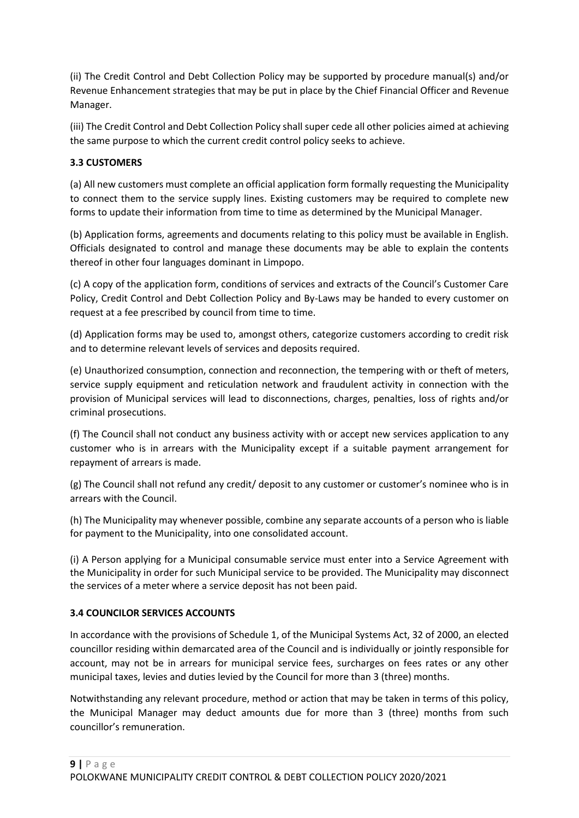(ii) The Credit Control and Debt Collection Policy may be supported by procedure manual(s) and/or Revenue Enhancement strategies that may be put in place by the Chief Financial Officer and Revenue Manager.

(iii) The Credit Control and Debt Collection Policy shall super cede all other policies aimed at achieving the same purpose to which the current credit control policy seeks to achieve.

# **3.3 CUSTOMERS**

(a) All new customers must complete an official application form formally requesting the Municipality to connect them to the service supply lines. Existing customers may be required to complete new forms to update their information from time to time as determined by the Municipal Manager.

(b) Application forms, agreements and documents relating to this policy must be available in English. Officials designated to control and manage these documents may be able to explain the contents thereof in other four languages dominant in Limpopo.

(c) A copy of the application form, conditions of services and extracts of the Council's Customer Care Policy, Credit Control and Debt Collection Policy and By-Laws may be handed to every customer on request at a fee prescribed by council from time to time.

(d) Application forms may be used to, amongst others, categorize customers according to credit risk and to determine relevant levels of services and deposits required.

(e) Unauthorized consumption, connection and reconnection, the tempering with or theft of meters, service supply equipment and reticulation network and fraudulent activity in connection with the provision of Municipal services will lead to disconnections, charges, penalties, loss of rights and/or criminal prosecutions.

(f) The Council shall not conduct any business activity with or accept new services application to any customer who is in arrears with the Municipality except if a suitable payment arrangement for repayment of arrears is made.

(g) The Council shall not refund any credit/ deposit to any customer or customer's nominee who is in arrears with the Council.

(h) The Municipality may whenever possible, combine any separate accounts of a person who is liable for payment to the Municipality, into one consolidated account.

(i) A Person applying for a Municipal consumable service must enter into a Service Agreement with the Municipality in order for such Municipal service to be provided. The Municipality may disconnect the services of a meter where a service deposit has not been paid.

## **3.4 COUNCILOR SERVICES ACCOUNTS**

In accordance with the provisions of Schedule 1, of the Municipal Systems Act, 32 of 2000, an elected councillor residing within demarcated area of the Council and is individually or jointly responsible for account, may not be in arrears for municipal service fees, surcharges on fees rates or any other municipal taxes, levies and duties levied by the Council for more than 3 (three) months.

Notwithstanding any relevant procedure, method or action that may be taken in terms of this policy, the Municipal Manager may deduct amounts due for more than 3 (three) months from such councillor's remuneration.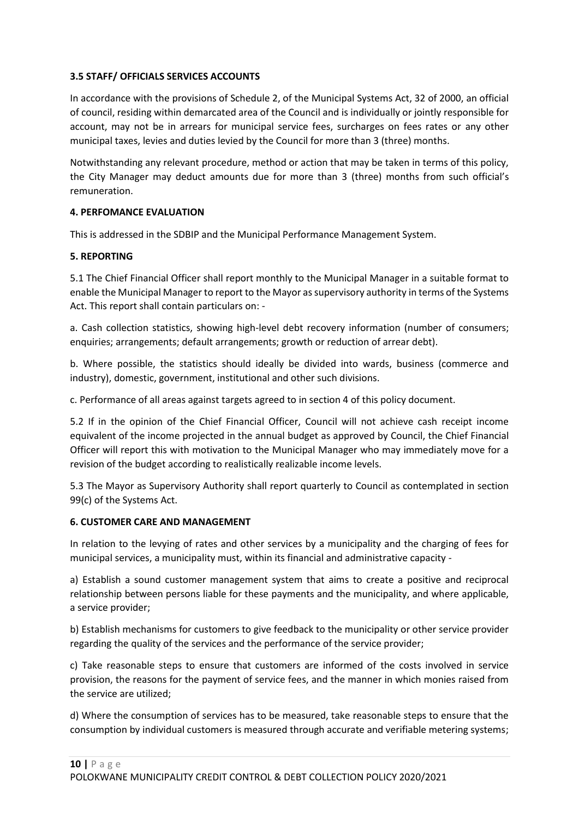#### **3.5 STAFF/ OFFICIALS SERVICES ACCOUNTS**

In accordance with the provisions of Schedule 2, of the Municipal Systems Act, 32 of 2000, an official of council, residing within demarcated area of the Council and is individually or jointly responsible for account, may not be in arrears for municipal service fees, surcharges on fees rates or any other municipal taxes, levies and duties levied by the Council for more than 3 (three) months.

Notwithstanding any relevant procedure, method or action that may be taken in terms of this policy, the City Manager may deduct amounts due for more than 3 (three) months from such official's remuneration.

#### **4. PERFOMANCE EVALUATION**

This is addressed in the SDBIP and the Municipal Performance Management System.

#### **5. REPORTING**

5.1 The Chief Financial Officer shall report monthly to the Municipal Manager in a suitable format to enable the Municipal Manager to report to the Mayor as supervisory authority in terms of the Systems Act. This report shall contain particulars on: -

a. Cash collection statistics, showing high-level debt recovery information (number of consumers; enquiries; arrangements; default arrangements; growth or reduction of arrear debt).

b. Where possible, the statistics should ideally be divided into wards, business (commerce and industry), domestic, government, institutional and other such divisions.

c. Performance of all areas against targets agreed to in section 4 of this policy document.

5.2 If in the opinion of the Chief Financial Officer, Council will not achieve cash receipt income equivalent of the income projected in the annual budget as approved by Council, the Chief Financial Officer will report this with motivation to the Municipal Manager who may immediately move for a revision of the budget according to realistically realizable income levels.

5.3 The Mayor as Supervisory Authority shall report quarterly to Council as contemplated in section 99(c) of the Systems Act.

#### **6. CUSTOMER CARE AND MANAGEMENT**

In relation to the levying of rates and other services by a municipality and the charging of fees for municipal services, a municipality must, within its financial and administrative capacity -

a) Establish a sound customer management system that aims to create a positive and reciprocal relationship between persons liable for these payments and the municipality, and where applicable, a service provider;

b) Establish mechanisms for customers to give feedback to the municipality or other service provider regarding the quality of the services and the performance of the service provider;

c) Take reasonable steps to ensure that customers are informed of the costs involved in service provision, the reasons for the payment of service fees, and the manner in which monies raised from the service are utilized;

d) Where the consumption of services has to be measured, take reasonable steps to ensure that the consumption by individual customers is measured through accurate and verifiable metering systems;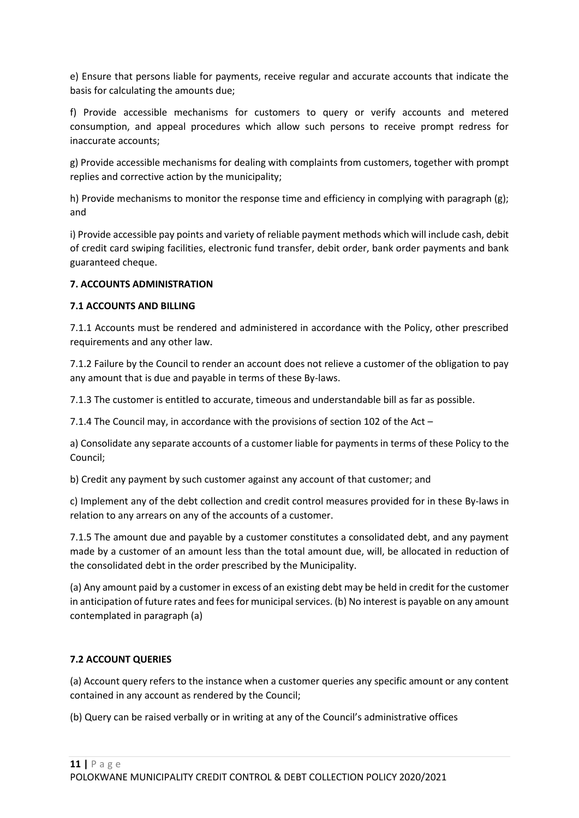e) Ensure that persons liable for payments, receive regular and accurate accounts that indicate the basis for calculating the amounts due;

f) Provide accessible mechanisms for customers to query or verify accounts and metered consumption, and appeal procedures which allow such persons to receive prompt redress for inaccurate accounts;

g) Provide accessible mechanisms for dealing with complaints from customers, together with prompt replies and corrective action by the municipality;

h) Provide mechanisms to monitor the response time and efficiency in complying with paragraph (g); and

i) Provide accessible pay points and variety of reliable payment methods which will include cash, debit of credit card swiping facilities, electronic fund transfer, debit order, bank order payments and bank guaranteed cheque.

## **7. ACCOUNTS ADMINISTRATION**

## **7.1 ACCOUNTS AND BILLING**

7.1.1 Accounts must be rendered and administered in accordance with the Policy, other prescribed requirements and any other law.

7.1.2 Failure by the Council to render an account does not relieve a customer of the obligation to pay any amount that is due and payable in terms of these By-laws.

7.1.3 The customer is entitled to accurate, timeous and understandable bill as far as possible.

7.1.4 The Council may, in accordance with the provisions of section 102 of the Act –

a) Consolidate any separate accounts of a customer liable for payments in terms of these Policy to the Council;

b) Credit any payment by such customer against any account of that customer; and

c) Implement any of the debt collection and credit control measures provided for in these By-laws in relation to any arrears on any of the accounts of a customer.

7.1.5 The amount due and payable by a customer constitutes a consolidated debt, and any payment made by a customer of an amount less than the total amount due, will, be allocated in reduction of the consolidated debt in the order prescribed by the Municipality.

(a) Any amount paid by a customer in excess of an existing debt may be held in credit for the customer in anticipation of future rates and fees for municipal services. (b) No interest is payable on any amount contemplated in paragraph (a)

# **7.2 ACCOUNT QUERIES**

(a) Account query refers to the instance when a customer queries any specific amount or any content contained in any account as rendered by the Council;

(b) Query can be raised verbally or in writing at any of the Council's administrative offices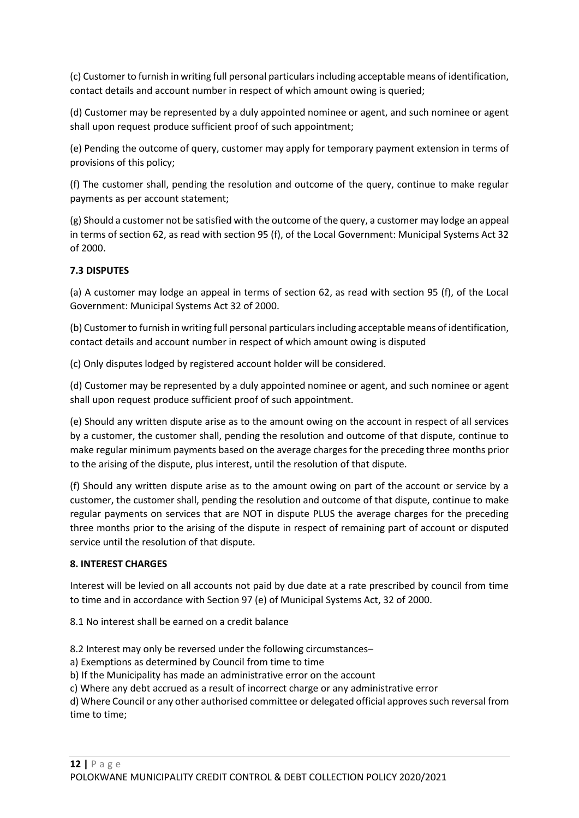(c) Customer to furnish in writing full personal particulars including acceptable means of identification, contact details and account number in respect of which amount owing is queried;

(d) Customer may be represented by a duly appointed nominee or agent, and such nominee or agent shall upon request produce sufficient proof of such appointment;

(e) Pending the outcome of query, customer may apply for temporary payment extension in terms of provisions of this policy;

(f) The customer shall, pending the resolution and outcome of the query, continue to make regular payments as per account statement;

(g) Should a customer not be satisfied with the outcome of the query, a customer may lodge an appeal in terms of section 62, as read with section 95 (f), of the Local Government: Municipal Systems Act 32 of 2000.

## **7.3 DISPUTES**

(a) A customer may lodge an appeal in terms of section 62, as read with section 95 (f), of the Local Government: Municipal Systems Act 32 of 2000.

(b) Customer to furnish in writing full personal particulars including acceptable means of identification, contact details and account number in respect of which amount owing is disputed

(c) Only disputes lodged by registered account holder will be considered.

(d) Customer may be represented by a duly appointed nominee or agent, and such nominee or agent shall upon request produce sufficient proof of such appointment.

(e) Should any written dispute arise as to the amount owing on the account in respect of all services by a customer, the customer shall, pending the resolution and outcome of that dispute, continue to make regular minimum payments based on the average charges for the preceding three months prior to the arising of the dispute, plus interest, until the resolution of that dispute.

(f) Should any written dispute arise as to the amount owing on part of the account or service by a customer, the customer shall, pending the resolution and outcome of that dispute, continue to make regular payments on services that are NOT in dispute PLUS the average charges for the preceding three months prior to the arising of the dispute in respect of remaining part of account or disputed service until the resolution of that dispute.

## **8. INTEREST CHARGES**

Interest will be levied on all accounts not paid by due date at a rate prescribed by council from time to time and in accordance with Section 97 (e) of Municipal Systems Act, 32 of 2000.

8.1 No interest shall be earned on a credit balance

8.2 Interest may only be reversed under the following circumstances–

a) Exemptions as determined by Council from time to time

b) If the Municipality has made an administrative error on the account

c) Where any debt accrued as a result of incorrect charge or any administrative error

d) Where Council or any other authorised committee or delegated official approves such reversal from time to time;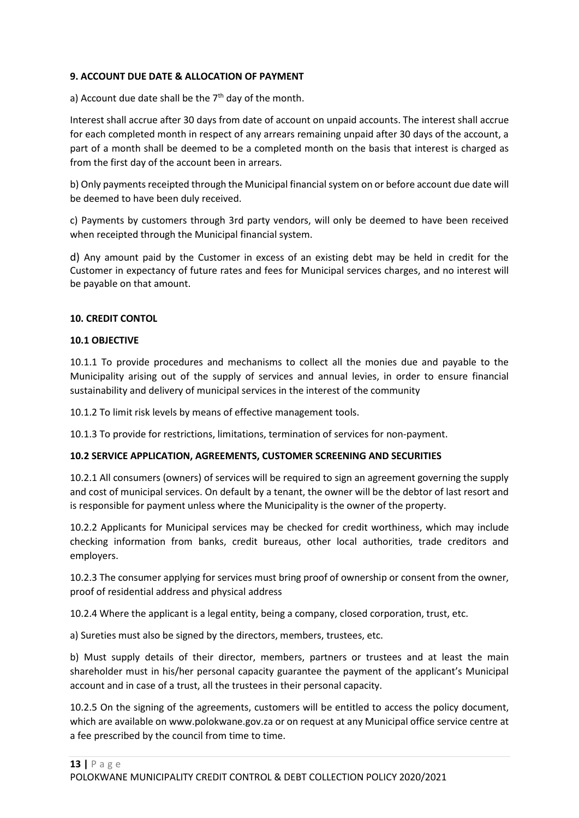#### **9. ACCOUNT DUE DATE & ALLOCATION OF PAYMENT**

a) Account due date shall be the  $7<sup>th</sup>$  day of the month.

Interest shall accrue after 30 days from date of account on unpaid accounts. The interest shall accrue for each completed month in respect of any arrears remaining unpaid after 30 days of the account, a part of a month shall be deemed to be a completed month on the basis that interest is charged as from the first day of the account been in arrears.

b) Only payments receipted through the Municipal financial system on or before account due date will be deemed to have been duly received.

c) Payments by customers through 3rd party vendors, will only be deemed to have been received when receipted through the Municipal financial system.

d) Any amount paid by the Customer in excess of an existing debt may be held in credit for the Customer in expectancy of future rates and fees for Municipal services charges, and no interest will be payable on that amount.

#### **10. CREDIT CONTOL**

#### **10.1 OBJECTIVE**

10.1.1 To provide procedures and mechanisms to collect all the monies due and payable to the Municipality arising out of the supply of services and annual levies, in order to ensure financial sustainability and delivery of municipal services in the interest of the community

10.1.2 To limit risk levels by means of effective management tools.

10.1.3 To provide for restrictions, limitations, termination of services for non-payment.

#### **10.2 SERVICE APPLICATION, AGREEMENTS, CUSTOMER SCREENING AND SECURITIES**

10.2.1 All consumers (owners) of services will be required to sign an agreement governing the supply and cost of municipal services. On default by a tenant, the owner will be the debtor of last resort and is responsible for payment unless where the Municipality is the owner of the property.

10.2.2 Applicants for Municipal services may be checked for credit worthiness, which may include checking information from banks, credit bureaus, other local authorities, trade creditors and employers.

10.2.3 The consumer applying for services must bring proof of ownership or consent from the owner, proof of residential address and physical address

10.2.4 Where the applicant is a legal entity, being a company, closed corporation, trust, etc.

a) Sureties must also be signed by the directors, members, trustees, etc.

b) Must supply details of their director, members, partners or trustees and at least the main shareholder must in his/her personal capacity guarantee the payment of the applicant's Municipal account and in case of a trust, all the trustees in their personal capacity.

10.2.5 On the signing of the agreements, customers will be entitled to access the policy document, which are available on www.polokwane.gov.za or on request at any Municipal office service centre at a fee prescribed by the council from time to time.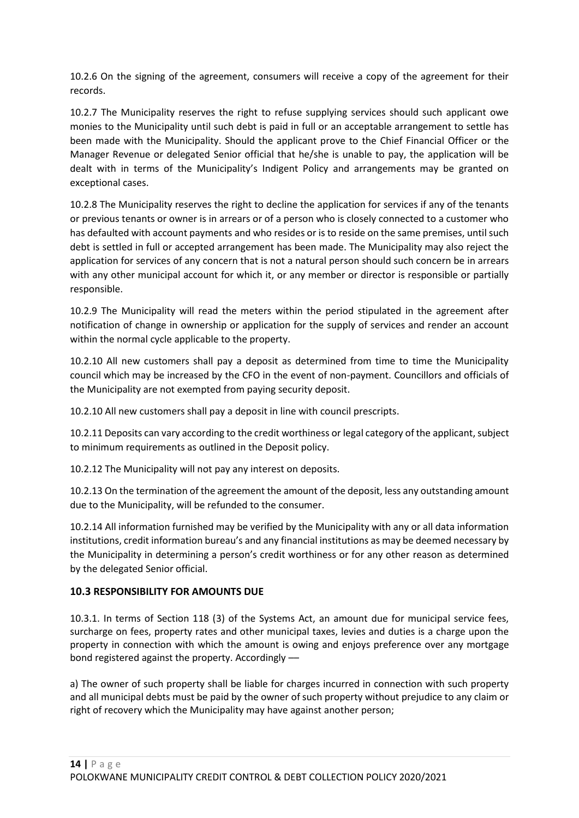10.2.6 On the signing of the agreement, consumers will receive a copy of the agreement for their records.

10.2.7 The Municipality reserves the right to refuse supplying services should such applicant owe monies to the Municipality until such debt is paid in full or an acceptable arrangement to settle has been made with the Municipality. Should the applicant prove to the Chief Financial Officer or the Manager Revenue or delegated Senior official that he/she is unable to pay, the application will be dealt with in terms of the Municipality's Indigent Policy and arrangements may be granted on exceptional cases.

10.2.8 The Municipality reserves the right to decline the application for services if any of the tenants or previous tenants or owner is in arrears or of a person who is closely connected to a customer who has defaulted with account payments and who resides or is to reside on the same premises, until such debt is settled in full or accepted arrangement has been made. The Municipality may also reject the application for services of any concern that is not a natural person should such concern be in arrears with any other municipal account for which it, or any member or director is responsible or partially responsible.

10.2.9 The Municipality will read the meters within the period stipulated in the agreement after notification of change in ownership or application for the supply of services and render an account within the normal cycle applicable to the property.

10.2.10 All new customers shall pay a deposit as determined from time to time the Municipality council which may be increased by the CFO in the event of non-payment. Councillors and officials of the Municipality are not exempted from paying security deposit.

10.2.10 All new customers shall pay a deposit in line with council prescripts.

10.2.11 Deposits can vary according to the credit worthiness or legal category of the applicant, subject to minimum requirements as outlined in the Deposit policy.

10.2.12 The Municipality will not pay any interest on deposits.

10.2.13 On the termination of the agreement the amount of the deposit, less any outstanding amount due to the Municipality, will be refunded to the consumer.

10.2.14 All information furnished may be verified by the Municipality with any or all data information institutions, credit information bureau's and any financial institutions as may be deemed necessary by the Municipality in determining a person's credit worthiness or for any other reason as determined by the delegated Senior official.

# **10.3 RESPONSIBILITY FOR AMOUNTS DUE**

10.3.1. In terms of Section 118 (3) of the Systems Act, an amount due for municipal service fees, surcharge on fees, property rates and other municipal taxes, levies and duties is a charge upon the property in connection with which the amount is owing and enjoys preference over any mortgage bond registered against the property. Accordingly ––

a) The owner of such property shall be liable for charges incurred in connection with such property and all municipal debts must be paid by the owner of such property without prejudice to any claim or right of recovery which the Municipality may have against another person;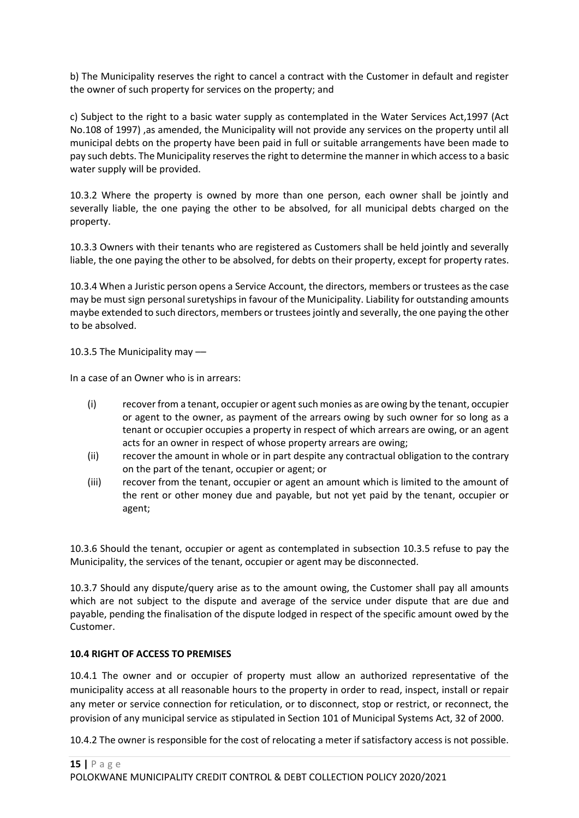b) The Municipality reserves the right to cancel a contract with the Customer in default and register the owner of such property for services on the property; and

c) Subject to the right to a basic water supply as contemplated in the Water Services Act,1997 (Act No.108 of 1997) ,as amended, the Municipality will not provide any services on the property until all municipal debts on the property have been paid in full or suitable arrangements have been made to pay such debts. The Municipality reserves the right to determine the manner in which access to a basic water supply will be provided.

10.3.2 Where the property is owned by more than one person, each owner shall be jointly and severally liable, the one paying the other to be absolved, for all municipal debts charged on the property.

10.3.3 Owners with their tenants who are registered as Customers shall be held jointly and severally liable, the one paying the other to be absolved, for debts on their property, except for property rates.

10.3.4 When a Juristic person opens a Service Account, the directors, members or trustees as the case may be must sign personal suretyships in favour of the Municipality. Liability for outstanding amounts maybe extended to such directors, members or trustees jointly and severally, the one paying the other to be absolved.

10.3.5 The Municipality may ––

In a case of an Owner who is in arrears:

- (i) recover from a tenant, occupier or agent such monies as are owing by the tenant, occupier or agent to the owner, as payment of the arrears owing by such owner for so long as a tenant or occupier occupies a property in respect of which arrears are owing, or an agent acts for an owner in respect of whose property arrears are owing;
- (ii) recover the amount in whole or in part despite any contractual obligation to the contrary on the part of the tenant, occupier or agent; or
- (iii) recover from the tenant, occupier or agent an amount which is limited to the amount of the rent or other money due and payable, but not yet paid by the tenant, occupier or agent;

10.3.6 Should the tenant, occupier or agent as contemplated in subsection 10.3.5 refuse to pay the Municipality, the services of the tenant, occupier or agent may be disconnected.

10.3.7 Should any dispute/query arise as to the amount owing, the Customer shall pay all amounts which are not subject to the dispute and average of the service under dispute that are due and payable, pending the finalisation of the dispute lodged in respect of the specific amount owed by the Customer.

#### **10.4 RIGHT OF ACCESS TO PREMISES**

10.4.1 The owner and or occupier of property must allow an authorized representative of the municipality access at all reasonable hours to the property in order to read, inspect, install or repair any meter or service connection for reticulation, or to disconnect, stop or restrict, or reconnect, the provision of any municipal service as stipulated in Section 101 of Municipal Systems Act, 32 of 2000.

10.4.2 The owner is responsible for the cost of relocating a meter if satisfactory access is not possible.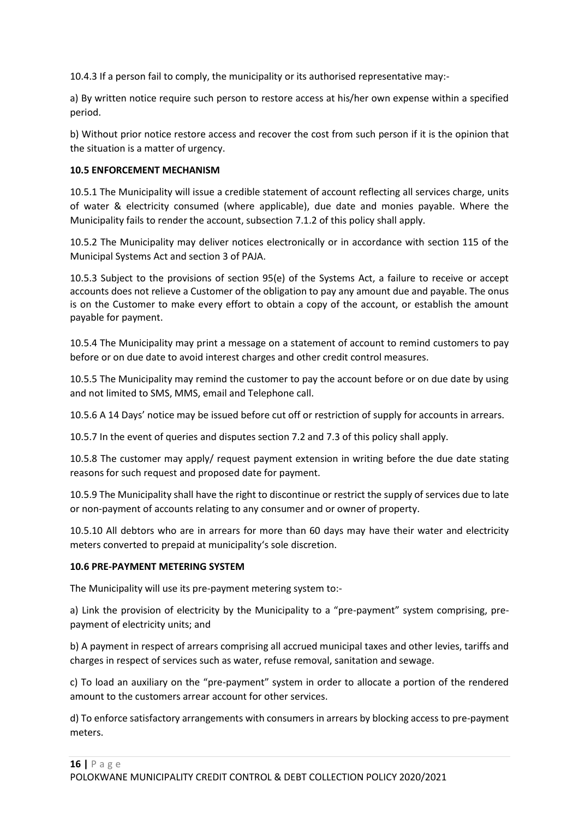10.4.3 If a person fail to comply, the municipality or its authorised representative may:-

a) By written notice require such person to restore access at his/her own expense within a specified period.

b) Without prior notice restore access and recover the cost from such person if it is the opinion that the situation is a matter of urgency.

#### **10.5 ENFORCEMENT MECHANISM**

10.5.1 The Municipality will issue a credible statement of account reflecting all services charge, units of water & electricity consumed (where applicable), due date and monies payable. Where the Municipality fails to render the account, subsection 7.1.2 of this policy shall apply.

10.5.2 The Municipality may deliver notices electronically or in accordance with section 115 of the Municipal Systems Act and section 3 of PAJA.

10.5.3 Subject to the provisions of section 95(e) of the Systems Act, a failure to receive or accept accounts does not relieve a Customer of the obligation to pay any amount due and payable. The onus is on the Customer to make every effort to obtain a copy of the account, or establish the amount payable for payment.

10.5.4 The Municipality may print a message on a statement of account to remind customers to pay before or on due date to avoid interest charges and other credit control measures.

10.5.5 The Municipality may remind the customer to pay the account before or on due date by using and not limited to SMS, MMS, email and Telephone call.

10.5.6 A 14 Days' notice may be issued before cut off or restriction of supply for accounts in arrears.

10.5.7 In the event of queries and disputes section 7.2 and 7.3 of this policy shall apply.

10.5.8 The customer may apply/ request payment extension in writing before the due date stating reasons for such request and proposed date for payment.

10.5.9 The Municipality shall have the right to discontinue or restrict the supply of services due to late or non-payment of accounts relating to any consumer and or owner of property.

10.5.10 All debtors who are in arrears for more than 60 days may have their water and electricity meters converted to prepaid at municipality's sole discretion.

#### **10.6 PRE-PAYMENT METERING SYSTEM**

The Municipality will use its pre-payment metering system to:-

a) Link the provision of electricity by the Municipality to a "pre-payment" system comprising, prepayment of electricity units; and

b) A payment in respect of arrears comprising all accrued municipal taxes and other levies, tariffs and charges in respect of services such as water, refuse removal, sanitation and sewage.

c) To load an auxiliary on the "pre-payment" system in order to allocate a portion of the rendered amount to the customers arrear account for other services.

d) To enforce satisfactory arrangements with consumers in arrears by blocking access to pre-payment meters.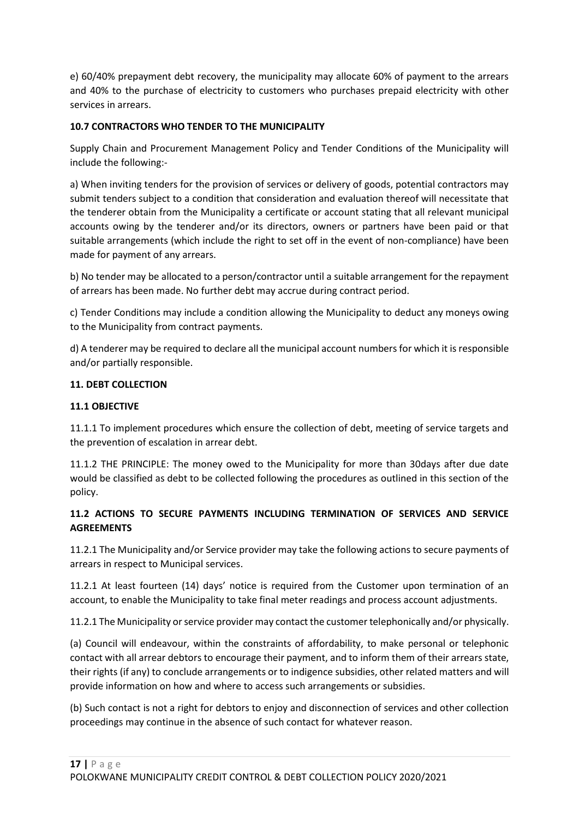e) 60/40% prepayment debt recovery, the municipality may allocate 60% of payment to the arrears and 40% to the purchase of electricity to customers who purchases prepaid electricity with other services in arrears.

## **10.7 CONTRACTORS WHO TENDER TO THE MUNICIPALITY**

Supply Chain and Procurement Management Policy and Tender Conditions of the Municipality will include the following:-

a) When inviting tenders for the provision of services or delivery of goods, potential contractors may submit tenders subject to a condition that consideration and evaluation thereof will necessitate that the tenderer obtain from the Municipality a certificate or account stating that all relevant municipal accounts owing by the tenderer and/or its directors, owners or partners have been paid or that suitable arrangements (which include the right to set off in the event of non-compliance) have been made for payment of any arrears.

b) No tender may be allocated to a person/contractor until a suitable arrangement for the repayment of arrears has been made. No further debt may accrue during contract period.

c) Tender Conditions may include a condition allowing the Municipality to deduct any moneys owing to the Municipality from contract payments.

d) A tenderer may be required to declare all the municipal account numbers for which it is responsible and/or partially responsible.

## **11. DEBT COLLECTION**

## **11.1 OBJECTIVE**

11.1.1 To implement procedures which ensure the collection of debt, meeting of service targets and the prevention of escalation in arrear debt.

11.1.2 THE PRINCIPLE: The money owed to the Municipality for more than 30days after due date would be classified as debt to be collected following the procedures as outlined in this section of the policy.

# **11.2 ACTIONS TO SECURE PAYMENTS INCLUDING TERMINATION OF SERVICES AND SERVICE AGREEMENTS**

11.2.1 The Municipality and/or Service provider may take the following actions to secure payments of arrears in respect to Municipal services.

11.2.1 At least fourteen (14) days' notice is required from the Customer upon termination of an account, to enable the Municipality to take final meter readings and process account adjustments.

11.2.1 The Municipality or service provider may contact the customer telephonically and/or physically.

(a) Council will endeavour, within the constraints of affordability, to make personal or telephonic contact with all arrear debtors to encourage their payment, and to inform them of their arrears state, their rights (if any) to conclude arrangements or to indigence subsidies, other related matters and will provide information on how and where to access such arrangements or subsidies.

(b) Such contact is not a right for debtors to enjoy and disconnection of services and other collection proceedings may continue in the absence of such contact for whatever reason.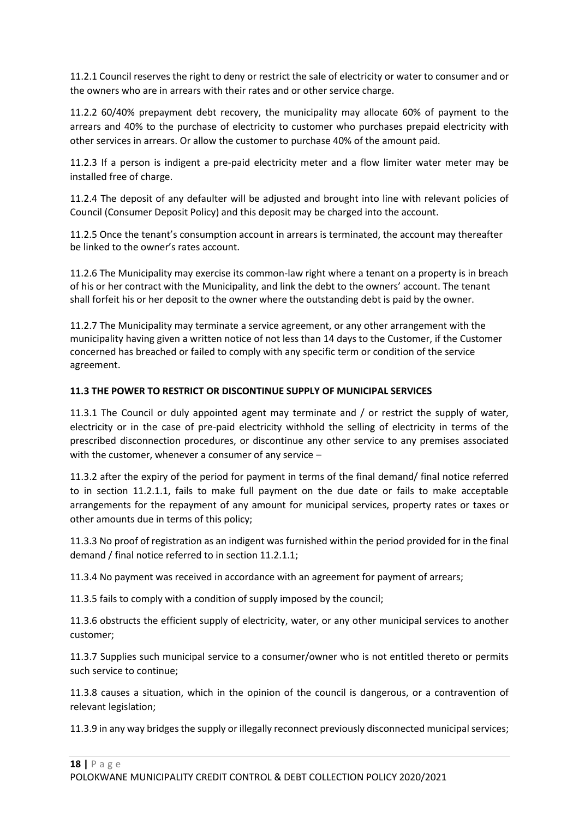11.2.1 Council reserves the right to deny or restrict the sale of electricity or water to consumer and or the owners who are in arrears with their rates and or other service charge.

11.2.2 60/40% prepayment debt recovery, the municipality may allocate 60% of payment to the arrears and 40% to the purchase of electricity to customer who purchases prepaid electricity with other services in arrears. Or allow the customer to purchase 40% of the amount paid.

11.2.3 If a person is indigent a pre-paid electricity meter and a flow limiter water meter may be installed free of charge.

11.2.4 The deposit of any defaulter will be adjusted and brought into line with relevant policies of Council (Consumer Deposit Policy) and this deposit may be charged into the account.

11.2.5 Once the tenant's consumption account in arrears is terminated, the account may thereafter be linked to the owner's rates account.

11.2.6 The Municipality may exercise its common-law right where a tenant on a property is in breach of his or her contract with the Municipality, and link the debt to the owners' account. The tenant shall forfeit his or her deposit to the owner where the outstanding debt is paid by the owner.

11.2.7 The Municipality may terminate a service agreement, or any other arrangement with the municipality having given a written notice of not less than 14 days to the Customer, if the Customer concerned has breached or failed to comply with any specific term or condition of the service agreement.

## **11.3 THE POWER TO RESTRICT OR DISCONTINUE SUPPLY OF MUNICIPAL SERVICES**

11.3.1 The Council or duly appointed agent may terminate and / or restrict the supply of water, electricity or in the case of pre-paid electricity withhold the selling of electricity in terms of the prescribed disconnection procedures, or discontinue any other service to any premises associated with the customer, whenever a consumer of any service –

11.3.2 after the expiry of the period for payment in terms of the final demand/ final notice referred to in section 11.2.1.1, fails to make full payment on the due date or fails to make acceptable arrangements for the repayment of any amount for municipal services, property rates or taxes or other amounts due in terms of this policy;

11.3.3 No proof of registration as an indigent was furnished within the period provided for in the final demand / final notice referred to in section 11.2.1.1;

11.3.4 No payment was received in accordance with an agreement for payment of arrears;

11.3.5 fails to comply with a condition of supply imposed by the council;

11.3.6 obstructs the efficient supply of electricity, water, or any other municipal services to another customer;

11.3.7 Supplies such municipal service to a consumer/owner who is not entitled thereto or permits such service to continue;

11.3.8 causes a situation, which in the opinion of the council is dangerous, or a contravention of relevant legislation;

11.3.9 in any way bridges the supply or illegally reconnect previously disconnected municipal services;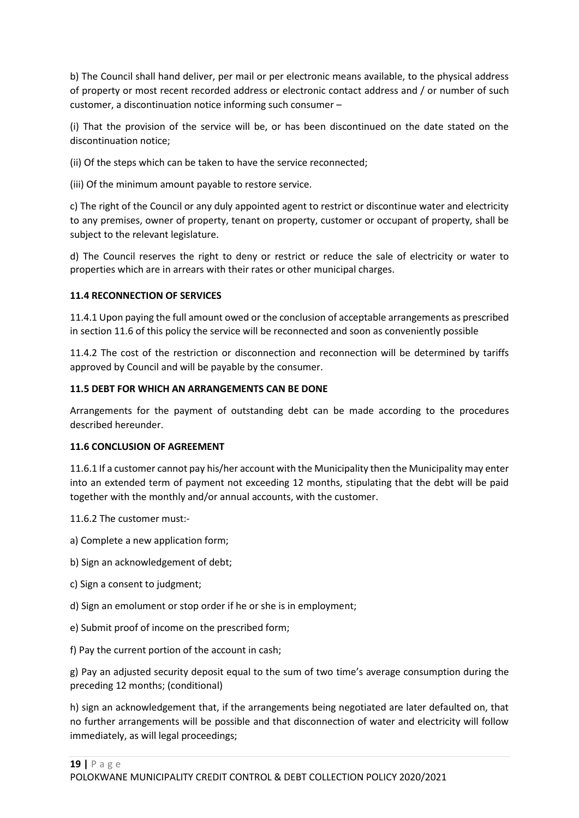b) The Council shall hand deliver, per mail or per electronic means available, to the physical address of property or most recent recorded address or electronic contact address and / or number of such customer, a discontinuation notice informing such consumer –

(i) That the provision of the service will be, or has been discontinued on the date stated on the discontinuation notice;

(ii) Of the steps which can be taken to have the service reconnected;

(iii) Of the minimum amount payable to restore service.

c) The right of the Council or any duly appointed agent to restrict or discontinue water and electricity to any premises, owner of property, tenant on property, customer or occupant of property, shall be subject to the relevant legislature.

d) The Council reserves the right to deny or restrict or reduce the sale of electricity or water to properties which are in arrears with their rates or other municipal charges.

#### **11.4 RECONNECTION OF SERVICES**

11.4.1 Upon paying the full amount owed or the conclusion of acceptable arrangements as prescribed in section 11.6 of this policy the service will be reconnected and soon as conveniently possible

11.4.2 The cost of the restriction or disconnection and reconnection will be determined by tariffs approved by Council and will be payable by the consumer.

#### **11.5 DEBT FOR WHICH AN ARRANGEMENTS CAN BE DONE**

Arrangements for the payment of outstanding debt can be made according to the procedures described hereunder.

#### **11.6 CONCLUSION OF AGREEMENT**

11.6.1 If a customer cannot pay his/her account with the Municipality then the Municipality may enter into an extended term of payment not exceeding 12 months, stipulating that the debt will be paid together with the monthly and/or annual accounts, with the customer.

11.6.2 The customer must:-

- a) Complete a new application form;
- b) Sign an acknowledgement of debt;
- c) Sign a consent to judgment;
- d) Sign an emolument or stop order if he or she is in employment;
- e) Submit proof of income on the prescribed form;
- f) Pay the current portion of the account in cash;

g) Pay an adjusted security deposit equal to the sum of two time's average consumption during the preceding 12 months; (conditional)

h) sign an acknowledgement that, if the arrangements being negotiated are later defaulted on, that no further arrangements will be possible and that disconnection of water and electricity will follow immediately, as will legal proceedings;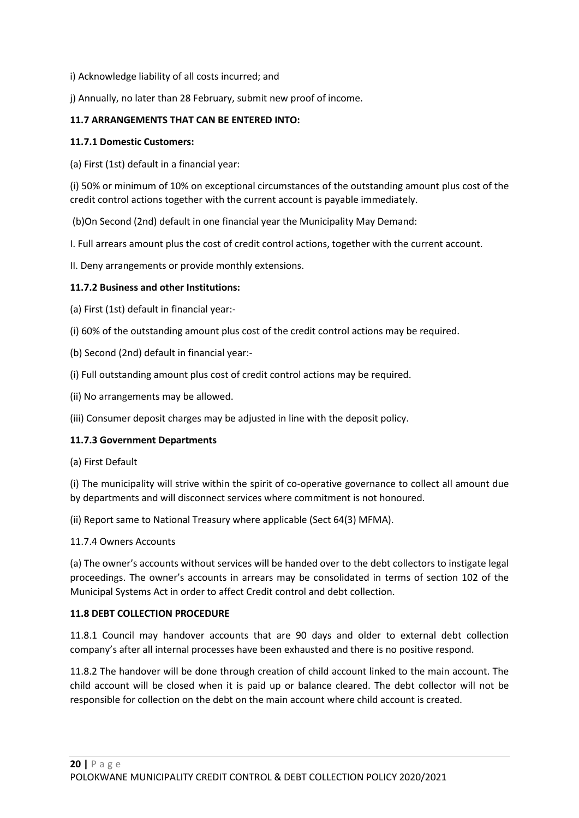- i) Acknowledge liability of all costs incurred; and
- j) Annually, no later than 28 February, submit new proof of income.

## **11.7 ARRANGEMENTS THAT CAN BE ENTERED INTO:**

#### **11.7.1 Domestic Customers:**

(a) First (1st) default in a financial year:

(i) 50% or minimum of 10% on exceptional circumstances of the outstanding amount plus cost of the credit control actions together with the current account is payable immediately.

(b)On Second (2nd) default in one financial year the Municipality May Demand:

I. Full arrears amount plus the cost of credit control actions, together with the current account.

II. Deny arrangements or provide monthly extensions.

#### **11.7.2 Business and other Institutions:**

(a) First (1st) default in financial year:-

- (i) 60% of the outstanding amount plus cost of the credit control actions may be required.
- (b) Second (2nd) default in financial year:-
- (i) Full outstanding amount plus cost of credit control actions may be required.
- (ii) No arrangements may be allowed.
- (iii) Consumer deposit charges may be adjusted in line with the deposit policy.

## **11.7.3 Government Departments**

(a) First Default

(i) The municipality will strive within the spirit of co-operative governance to collect all amount due by departments and will disconnect services where commitment is not honoured.

(ii) Report same to National Treasury where applicable (Sect 64(3) MFMA).

#### 11.7.4 Owners Accounts

(a) The owner's accounts without services will be handed over to the debt collectors to instigate legal proceedings. The owner's accounts in arrears may be consolidated in terms of section 102 of the Municipal Systems Act in order to affect Credit control and debt collection.

#### **11.8 DEBT COLLECTION PROCEDURE**

11.8.1 Council may handover accounts that are 90 days and older to external debt collection company's after all internal processes have been exhausted and there is no positive respond.

11.8.2 The handover will be done through creation of child account linked to the main account. The child account will be closed when it is paid up or balance cleared. The debt collector will not be responsible for collection on the debt on the main account where child account is created.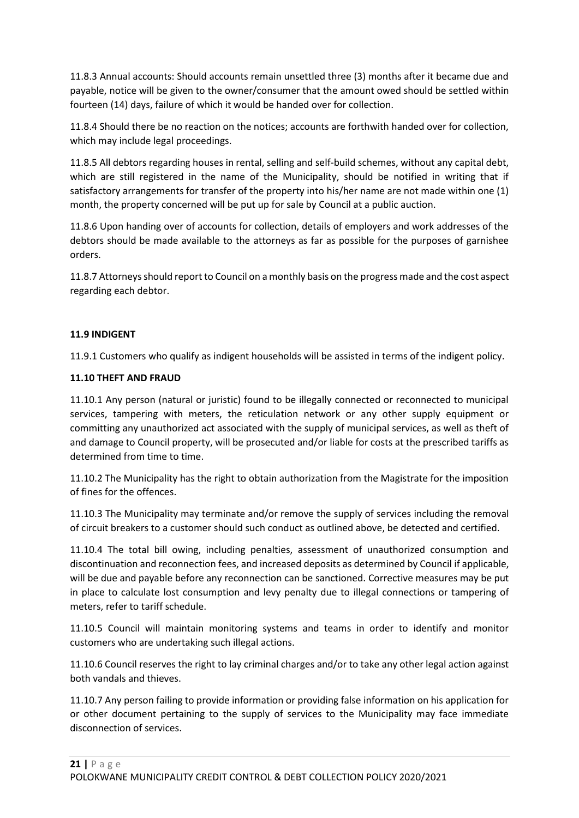11.8.3 Annual accounts: Should accounts remain unsettled three (3) months after it became due and payable, notice will be given to the owner/consumer that the amount owed should be settled within fourteen (14) days, failure of which it would be handed over for collection.

11.8.4 Should there be no reaction on the notices; accounts are forthwith handed over for collection, which may include legal proceedings.

11.8.5 All debtors regarding houses in rental, selling and self-build schemes, without any capital debt, which are still registered in the name of the Municipality, should be notified in writing that if satisfactory arrangements for transfer of the property into his/her name are not made within one (1) month, the property concerned will be put up for sale by Council at a public auction.

11.8.6 Upon handing over of accounts for collection, details of employers and work addresses of the debtors should be made available to the attorneys as far as possible for the purposes of garnishee orders.

11.8.7 Attorneys should report to Council on a monthly basis on the progress made and the cost aspect regarding each debtor.

## **11.9 INDIGENT**

11.9.1 Customers who qualify as indigent households will be assisted in terms of the indigent policy.

#### **11.10 THEFT AND FRAUD**

11.10.1 Any person (natural or juristic) found to be illegally connected or reconnected to municipal services, tampering with meters, the reticulation network or any other supply equipment or committing any unauthorized act associated with the supply of municipal services, as well as theft of and damage to Council property, will be prosecuted and/or liable for costs at the prescribed tariffs as determined from time to time.

11.10.2 The Municipality has the right to obtain authorization from the Magistrate for the imposition of fines for the offences.

11.10.3 The Municipality may terminate and/or remove the supply of services including the removal of circuit breakers to a customer should such conduct as outlined above, be detected and certified.

11.10.4 The total bill owing, including penalties, assessment of unauthorized consumption and discontinuation and reconnection fees, and increased deposits as determined by Council if applicable, will be due and payable before any reconnection can be sanctioned. Corrective measures may be put in place to calculate lost consumption and levy penalty due to illegal connections or tampering of meters, refer to tariff schedule.

11.10.5 Council will maintain monitoring systems and teams in order to identify and monitor customers who are undertaking such illegal actions.

11.10.6 Council reserves the right to lay criminal charges and/or to take any other legal action against both vandals and thieves.

11.10.7 Any person failing to provide information or providing false information on his application for or other document pertaining to the supply of services to the Municipality may face immediate disconnection of services.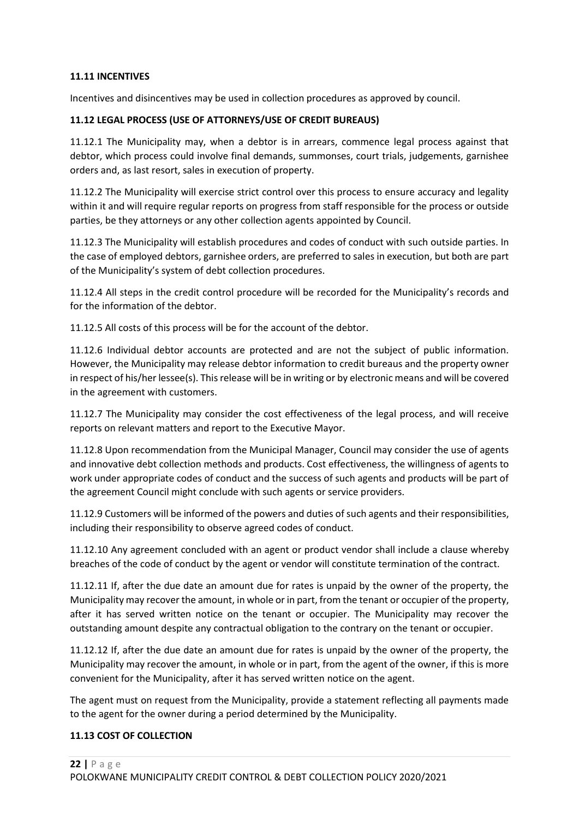#### **11.11 INCENTIVES**

Incentives and disincentives may be used in collection procedures as approved by council.

#### **11.12 LEGAL PROCESS (USE OF ATTORNEYS/USE OF CREDIT BUREAUS)**

11.12.1 The Municipality may, when a debtor is in arrears, commence legal process against that debtor, which process could involve final demands, summonses, court trials, judgements, garnishee orders and, as last resort, sales in execution of property.

11.12.2 The Municipality will exercise strict control over this process to ensure accuracy and legality within it and will require regular reports on progress from staff responsible for the process or outside parties, be they attorneys or any other collection agents appointed by Council.

11.12.3 The Municipality will establish procedures and codes of conduct with such outside parties. In the case of employed debtors, garnishee orders, are preferred to sales in execution, but both are part of the Municipality's system of debt collection procedures.

11.12.4 All steps in the credit control procedure will be recorded for the Municipality's records and for the information of the debtor.

11.12.5 All costs of this process will be for the account of the debtor.

11.12.6 Individual debtor accounts are protected and are not the subject of public information. However, the Municipality may release debtor information to credit bureaus and the property owner in respect of his/her lessee(s). This release will be in writing or by electronic means and will be covered in the agreement with customers.

11.12.7 The Municipality may consider the cost effectiveness of the legal process, and will receive reports on relevant matters and report to the Executive Mayor.

11.12.8 Upon recommendation from the Municipal Manager, Council may consider the use of agents and innovative debt collection methods and products. Cost effectiveness, the willingness of agents to work under appropriate codes of conduct and the success of such agents and products will be part of the agreement Council might conclude with such agents or service providers.

11.12.9 Customers will be informed of the powers and duties of such agents and their responsibilities, including their responsibility to observe agreed codes of conduct.

11.12.10 Any agreement concluded with an agent or product vendor shall include a clause whereby breaches of the code of conduct by the agent or vendor will constitute termination of the contract.

11.12.11 If, after the due date an amount due for rates is unpaid by the owner of the property, the Municipality may recover the amount, in whole or in part, from the tenant or occupier of the property, after it has served written notice on the tenant or occupier. The Municipality may recover the outstanding amount despite any contractual obligation to the contrary on the tenant or occupier.

11.12.12 If, after the due date an amount due for rates is unpaid by the owner of the property, the Municipality may recover the amount, in whole or in part, from the agent of the owner, if this is more convenient for the Municipality, after it has served written notice on the agent.

The agent must on request from the Municipality, provide a statement reflecting all payments made to the agent for the owner during a period determined by the Municipality.

#### **11.13 COST OF COLLECTION**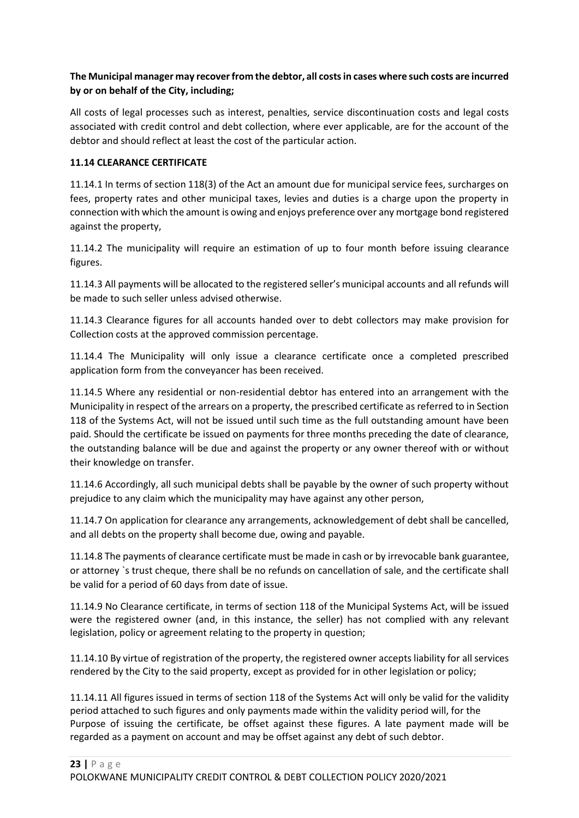## **The Municipal manager may recover from the debtor, all costs in cases where such costs are incurred by or on behalf of the City, including;**

All costs of legal processes such as interest, penalties, service discontinuation costs and legal costs associated with credit control and debt collection, where ever applicable, are for the account of the debtor and should reflect at least the cost of the particular action.

## **11.14 CLEARANCE CERTIFICATE**

11.14.1 In terms of section 118(3) of the Act an amount due for municipal service fees, surcharges on fees, property rates and other municipal taxes, levies and duties is a charge upon the property in connection with which the amount is owing and enjoys preference over any mortgage bond registered against the property,

11.14.2 The municipality will require an estimation of up to four month before issuing clearance figures.

11.14.3 All payments will be allocated to the registered seller's municipal accounts and all refunds will be made to such seller unless advised otherwise.

11.14.3 Clearance figures for all accounts handed over to debt collectors may make provision for Collection costs at the approved commission percentage.

11.14.4 The Municipality will only issue a clearance certificate once a completed prescribed application form from the conveyancer has been received.

11.14.5 Where any residential or non-residential debtor has entered into an arrangement with the Municipality in respect of the arrears on a property, the prescribed certificate as referred to in Section 118 of the Systems Act, will not be issued until such time as the full outstanding amount have been paid. Should the certificate be issued on payments for three months preceding the date of clearance, the outstanding balance will be due and against the property or any owner thereof with or without their knowledge on transfer.

11.14.6 Accordingly, all such municipal debts shall be payable by the owner of such property without prejudice to any claim which the municipality may have against any other person,

11.14.7 On application for clearance any arrangements, acknowledgement of debt shall be cancelled, and all debts on the property shall become due, owing and payable.

11.14.8 The payments of clearance certificate must be made in cash or by irrevocable bank guarantee, or attorney `s trust cheque, there shall be no refunds on cancellation of sale, and the certificate shall be valid for a period of 60 days from date of issue.

11.14.9 No Clearance certificate, in terms of section 118 of the Municipal Systems Act, will be issued were the registered owner (and, in this instance, the seller) has not complied with any relevant legislation, policy or agreement relating to the property in question;

11.14.10 By virtue of registration of the property, the registered owner accepts liability for all services rendered by the City to the said property, except as provided for in other legislation or policy;

11.14.11 All figures issued in terms of section 118 of the Systems Act will only be valid for the validity period attached to such figures and only payments made within the validity period will, for the Purpose of issuing the certificate, be offset against these figures. A late payment made will be regarded as a payment on account and may be offset against any debt of such debtor.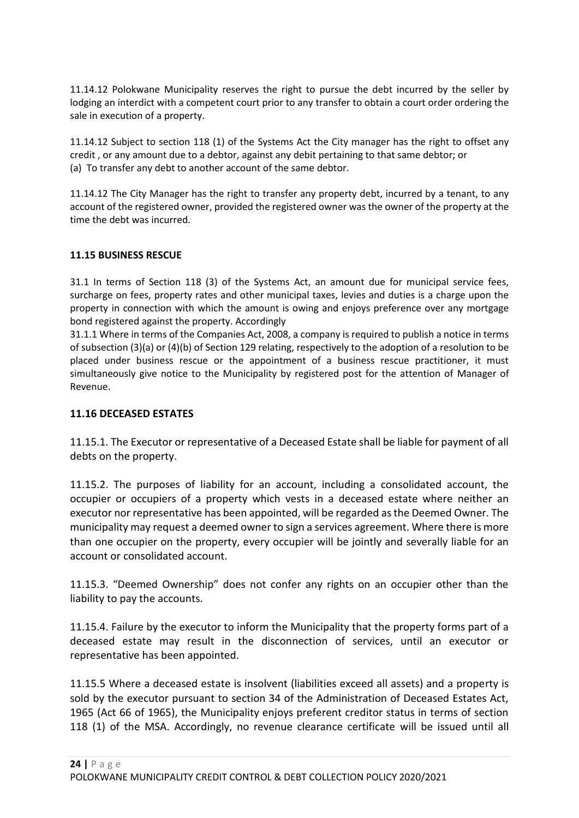11.14.12 Polokwane Municipality reserves the right to pursue the debt incurred by the seller by lodging an interdict with a competent court prior to any transfer to obtain a court order ordering the sale in execution of a property.

11.14.12 Subject to section 118 (1) of the Systems Act the City manager has the right to offset any credit , or any amount due to a debtor, against any debit pertaining to that same debtor; or (a) To transfer any debt to another account of the same debtor.

11.14.12 The City Manager has the right to transfer any property debt, incurred by a tenant, to any account of the registered owner, provided the registered owner was the owner of the property at the time the debt was incurred.

## **11.15 BUSINESS RESCUE**

31.1 In terms of Section 118 (3) of the Systems Act, an amount due for municipal service fees, surcharge on fees, property rates and other municipal taxes, levies and duties is a charge upon the property in connection with which the amount is owing and enjoys preference over any mortgage bond registered against the property. Accordingly

31.1.1 Where in terms of the Companies Act, 2008, a company is required to publish a notice in terms of subsection (3)(a) or (4)(b) of Section 129 relating, respectively to the adoption of a resolution to be placed under business rescue or the appointment of a business rescue practitioner, it must simultaneously give notice to the Municipality by registered post for the attention of Manager of Revenue.

## **11.16 DECEASED ESTATES**

11.15.1. The Executor or representative of a Deceased Estate shall be liable for payment of all debts on the property.

11.15.2. The purposes of liability for an account, including a consolidated account, the occupier or occupiers of a property which vests in a deceased estate where neither an executor nor representative has been appointed, will be regarded as the Deemed Owner. The municipality may request a deemed owner to sign a services agreement. Where there is more than one occupier on the property, every occupier will be jointly and severally liable for an account or consolidated account.

11.15.3. "Deemed Ownership" does not confer any rights on an occupier other than the liability to pay the accounts.

11.15.4. Failure by the executor to inform the Municipality that the property forms part of a deceased estate may result in the disconnection of services, until an executor or representative has been appointed.

11.15.5 Where a deceased estate is insolvent (liabilities exceed all assets) and a property is sold by the executor pursuant to section 34 of the Administration of Deceased Estates Act, 1965 (Act 66 of 1965), the Municipality enjoys preferent creditor status in terms of section 118 (1) of the MSA. Accordingly, no revenue clearance certificate will be issued until all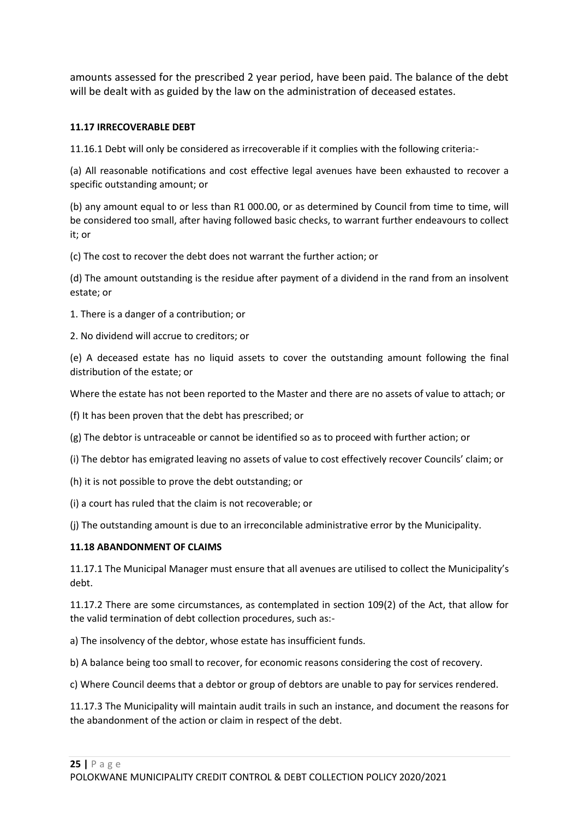amounts assessed for the prescribed 2 year period, have been paid. The balance of the debt will be dealt with as guided by the law on the administration of deceased estates.

## **11.17 IRRECOVERABLE DEBT**

11.16.1 Debt will only be considered as irrecoverable if it complies with the following criteria:-

(a) All reasonable notifications and cost effective legal avenues have been exhausted to recover a specific outstanding amount; or

(b) any amount equal to or less than R1 000.00, or as determined by Council from time to time, will be considered too small, after having followed basic checks, to warrant further endeavours to collect it; or

(c) The cost to recover the debt does not warrant the further action; or

(d) The amount outstanding is the residue after payment of a dividend in the rand from an insolvent estate; or

1. There is a danger of a contribution; or

2. No dividend will accrue to creditors; or

(e) A deceased estate has no liquid assets to cover the outstanding amount following the final distribution of the estate; or

Where the estate has not been reported to the Master and there are no assets of value to attach; or

(f) It has been proven that the debt has prescribed; or

(g) The debtor is untraceable or cannot be identified so as to proceed with further action; or

(i) The debtor has emigrated leaving no assets of value to cost effectively recover Councils' claim; or

(h) it is not possible to prove the debt outstanding; or

(i) a court has ruled that the claim is not recoverable; or

(j) The outstanding amount is due to an irreconcilable administrative error by the Municipality.

#### **11.18 ABANDONMENT OF CLAIMS**

11.17.1 The Municipal Manager must ensure that all avenues are utilised to collect the Municipality's debt.

11.17.2 There are some circumstances, as contemplated in section 109(2) of the Act, that allow for the valid termination of debt collection procedures, such as:-

a) The insolvency of the debtor, whose estate has insufficient funds.

b) A balance being too small to recover, for economic reasons considering the cost of recovery.

c) Where Council deems that a debtor or group of debtors are unable to pay for services rendered.

11.17.3 The Municipality will maintain audit trails in such an instance, and document the reasons for the abandonment of the action or claim in respect of the debt.